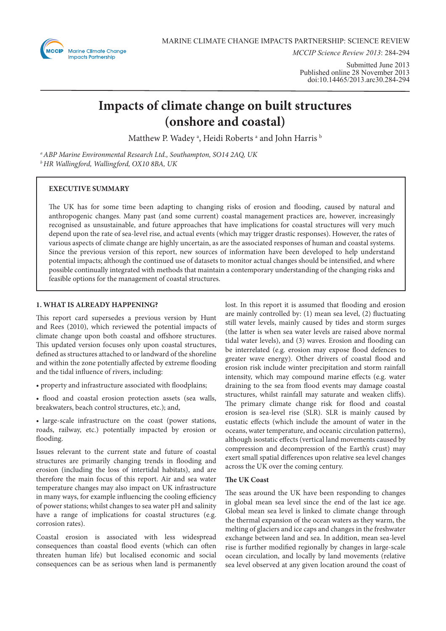

*MCCIP Science Review 2013*: 284-294

Submitted June 2013 Published online 28 November 2013 doi:10.14465/2013.arc30.284-294

# **Impacts of climate change on built structures (onshore and coastal)**

Matthew P. Wadey  $^{\textrm{a}}$ , Heidi Roberts  $^{\textrm{a}}$  and John Harris  $^{\textrm{b}}$ 

*a ABP Marine Environmental Research Ltd., Southampton, SO14 2AQ, UK b HR Wallingford, Wallingford, OX10 8BA, UK*

# **EXECUTIVE SUMMARY**

The UK has for some time been adapting to changing risks of erosion and flooding, caused by natural and anthropogenic changes. Many past (and some current) coastal management practices are, however, increasingly recognised as unsustainable, and future approaches that have implications for coastal structures will very much depend upon the rate of sea-level rise, and actual events (which may trigger drastic responses). However, the rates of various aspects of climate change are highly uncertain, as are the associated responses of human and coastal systems. Since the previous version of this report, new sources of information have been developed to help understand potential impacts; although the continued use of datasets to monitor actual changes should be intensified, and where possible continually integrated with methods that maintain a contemporary understanding of the changing risks and feasible options for the management of coastal structures.

## **1. WHAT IS ALREADY HAPPENING?**

This report card supersedes a previous version by Hunt and Rees (2010), which reviewed the potential impacts of climate change upon both coastal and offshore structures. This updated version focuses only upon coastal structures, defined as structures attached to or landward of the shoreline and within the zone potentially affected by extreme flooding and the tidal influence of rivers, including:

• property and infrastructure associated with floodplains;

• flood and coastal erosion protection assets (sea walls, breakwaters, beach control structures, etc.); and,

• large-scale infrastructure on the coast (power stations, roads, railway, etc.) potentially impacted by erosion or flooding.

Issues relevant to the current state and future of coastal structures are primarily changing trends in flooding and erosion (including the loss of intertidal habitats), and are therefore the main focus of this report. Air and sea water temperature changes may also impact on UK infrastructure in many ways, for example influencing the cooling efficiency of power stations; whilst changes to sea water pH and salinity have a range of implications for coastal structures (e.g. corrosion rates).

Coastal erosion is associated with less widespread consequences than coastal flood events (which can often threaten human life) but localised economic and social consequences can be as serious when land is permanently lost. In this report it is assumed that flooding and erosion are mainly controlled by: (1) mean sea level, (2) fluctuating still water levels, mainly caused by tides and storm surges (the latter is when sea water levels are raised above normal tidal water levels), and (3) waves. Erosion and flooding can be interrelated (e.g. erosion may expose flood defences to greater wave energy). Other drivers of coastal flood and erosion risk include winter precipitation and storm rainfall intensity, which may compound marine effects (e.g. water draining to the sea from flood events may damage coastal structures, whilst rainfall may saturate and weaken cliffs). The primary climate change risk for flood and coastal erosion is sea-level rise (SLR). SLR is mainly caused by eustatic effects (which include the amount of water in the oceans, water temperature, and oceanic circulation patterns), although isostatic effects (vertical land movements caused by compression and decompression of the Earth's crust) may exert small spatial differences upon relative sea level changes across the UK over the coming century.

# **The UK Coast**

The seas around the UK have been responding to changes in global mean sea level since the end of the last ice age. Global mean sea level is linked to climate change through the thermal expansion of the ocean waters as they warm, the melting of glaciers and ice caps and changes in the freshwater exchange between land and sea. In addition, mean sea-level rise is further modified regionally by changes in large-scale ocean circulation, and locally by land movements (relative sea level observed at any given location around the coast of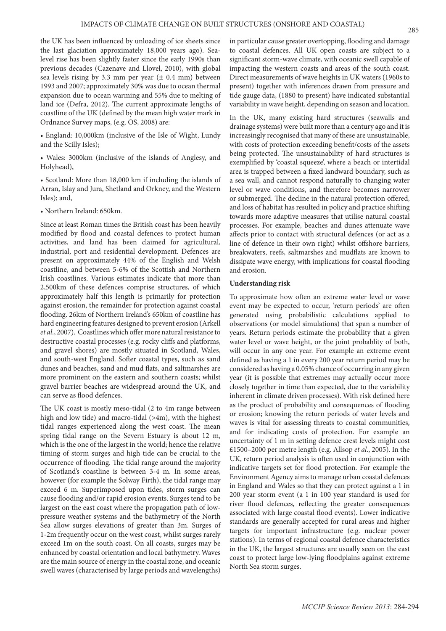the UK has been influenced by unloading of ice sheets since the last glaciation approximately 18,000 years ago). Sealevel rise has been slightly faster since the early 1990s than previous decades (Cazenave and Llovel, 2010), with global sea levels rising by 3.3 mm per year  $(\pm 0.4 \text{ mm})$  between 1993 and 2007; approximately 30% was due to ocean thermal expansion due to ocean warming and 55% due to melting of land ice (Defra, 2012). The current approximate lengths of coastline of the UK (defined by the mean high water mark in Ordnance Survey maps, (e.g. OS, 2008) are:

• England: 10,000km (inclusive of the Isle of Wight, Lundy and the Scilly Isles);

• Wales: 3000km (inclusive of the islands of Anglesy, and Holyhead),

• Scotland: More than 18,000 km if including the islands of Arran, Islay and Jura, Shetland and Orkney, and the Western Isles); and,

• Northern Ireland: 650km.

Since at least Roman times the British coast has been heavily modified by flood and coastal defences to protect human activities, and land has been claimed for agricultural, industrial, port and residential development. Defences are present on approximately 44% of the English and Welsh coastline, and between 5-6% of the Scottish and Northern Irish coastlines. Various estimates indicate that more than 2,500km of these defences comprise structures, of which approximately half this length is primarily for protection against erosion, the remainder for protection against coastal flooding. 26km of Northern Ireland's 650km of coastline has hard engineering features designed to prevent erosion (Arkell *et al*., 2007). Coastlines which offer more natural resistance to destructive coastal processes (e.g. rocky cliffs and platforms, and gravel shores) are mostly situated in Scotland, Wales, and south-west England. Softer coastal types, such as sand dunes and beaches, sand and mud flats, and saltmarshes are more prominent on the eastern and southern coasts; whilst gravel barrier beaches are widespread around the UK, and can serve as flood defences.

The UK coast is mostly meso-tidal (2 to 4m range between high and low tide) and macro-tidal (>4m), with the highest tidal ranges experienced along the west coast. The mean spring tidal range on the Severn Estuary is about 12 m, which is the one of the largest in the world; hence the relative timing of storm surges and high tide can be crucial to the occurrence of flooding. The tidal range around the majority of Scotland's coastline is between 3-4 m. In some areas, however (for example the Solway Firth), the tidal range may exceed 6 m. Superimposed upon tides, storm surges can cause flooding and/or rapid erosion events. Surges tend to be largest on the east coast where the propagation path of lowpressure weather systems and the bathymetry of the North Sea allow surges elevations of greater than 3m. Surges of 1-2m frequently occur on the west coast, whilst surges rarely exceed 1m on the south coast. On all coasts, surges may be enhanced by coastal orientation and local bathymetry. Waves are the main source of energy in the coastal zone, and oceanic swell waves (characterised by large periods and wavelengths)

in particular cause greater overtopping, flooding and damage to coastal defences. All UK open coasts are subject to a significant storm-wave climate, with oceanic swell capable of impacting the western coasts and areas of the south coast. Direct measurements of wave heights in UK waters (1960s to present) together with inferences drawn from pressure and tide gauge data, (1880 to present) have indicated substantial variability in wave height, depending on season and location.

In the UK, many existing hard structures (seawalls and drainage systems) were built more than a century ago and it is increasingly recognised that many of these are unsustainable, with costs of protection exceeding benefit/costs of the assets being protected. The unsustainability of hard structures is exemplified by 'coastal squeeze', where a beach or intertidal area is trapped between a fixed landward boundary, such as a sea wall, and cannot respond naturally to changing water level or wave conditions, and therefore becomes narrower or submerged. The decline in the natural protection offered, and loss of habitat has resulted in policy and practice shifting towards more adaptive measures that utilise natural coastal processes. For example, beaches and dunes attenuate wave affects prior to contact with structural defences (or act as a line of defence in their own right) whilst offshore barriers, breakwaters, reefs, saltmarshes and mudflats are known to dissipate wave energy, with implications for coastal flooding and erosion.

#### **Understanding risk**

To approximate how often an extreme water level or wave event may be expected to occur, 'return periods' are often generated using probabilistic calculations applied to observations (or model simulations) that span a number of years. Return periods estimate the probability that a given water level or wave height, or the joint probablity of both, will occur in any one year. For example an extreme event defined as having a 1 in every 200 year return period may be considered as having a 0.05% chance of occurring in any given year (it is possible that extremes may actually occur more closely together in time than expected, due to the variability inherent in climate driven processes). With risk defined here as the product of probability and consequences of flooding or erosion; knowing the return periods of water levels and waves is vital for assessing threats to coastal communities, and for indicating costs of protection. For example an uncertainty of 1 m in setting defence crest levels might cost £1500–2000 per metre length (e.g. Allsop *et al*., 2005). In the UK, return period analysis is often used in conjunction with indicative targets set for flood protection. For example the Environment Agency aims to manage urban coastal defences in England and Wales so that they can protect against a 1 in 200 year storm event (a 1 in 100 year standard is used for river flood defences, reflecting the greater consequences associated with large coastal flood events). Lower indicative standards are generally accepted for rural areas and higher targets for important infrastructure (e.g. nuclear power stations). In terms of regional coastal defence characteristics in the UK, the largest structures are usually seen on the east coast to protect large low-lying floodplains against extreme North Sea storm surges.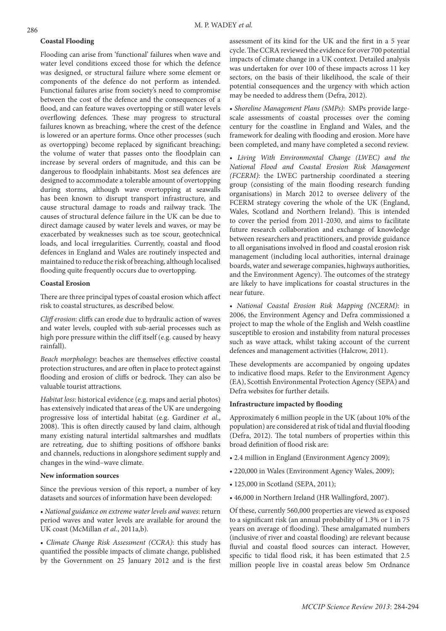## **Coastal Flooding**

Flooding can arise from 'functional' failures when wave and water level conditions exceed those for which the defence was designed, or structural failure where some element or components of the defence do not perform as intended. Functional failures arise from society's need to compromise between the cost of the defence and the consequences of a flood, and can feature waves overtopping or still water levels overflowing defences. These may progress to structural failures known as breaching, where the crest of the defence is lowered or an aperture forms. Once other processes (such as overtopping) become replaced by significant breaching; the volume of water that passes onto the floodplain can increase by several orders of magnitude, and this can be dangerous to floodplain inhabitants. Most sea defences are designed to accommodate a tolerable amount of overtopping during storms, although wave overtopping at seawalls has been known to disrupt transport infrastructure, and cause structural damage to roads and railway track. The causes of structural defence failure in the UK can be due to direct damage caused by water levels and waves, or may be exacerbated by weaknesses such as toe scour, geotechnical loads, and local irregularities. Currently, coastal and flood defences in England and Wales are routinely inspected and maintained to reduce the risk of breaching, although localised flooding quite frequently occurs due to overtopping.

# **Coastal Erosion**

There are three principal types of coastal erosion which affect risk to coastal structures, as described below.

*Cliff erosion*: cliffs can erode due to hydraulic action of waves and water levels, coupled with sub-aerial processes such as high pore pressure within the cliff itself (e.g. caused by heavy rainfall).

*Beach morphology*: beaches are themselves effective coastal protection structures, and are often in place to protect against flooding and erosion of cliffs or bedrock. They can also be valuable tourist attractions.

*Habitat loss*: historical evidence (e.g. maps and aerial photos) has extensively indicated that areas of the UK are undergoing progressive loss of intertidal habitat (e.g. Gardiner *et al*., 2008). This is often directly caused by land claim, although many existing natural intertidal saltmarshes and mudflats are retreating, due to shifting positions of offshore banks and channels, reductions in alongshore sediment supply and changes in the wind–wave climate.

#### **New information sources**

Since the previous version of this report, a number of key datasets and sources of information have been developed:

• *National guidance on extreme water levels and waves*: return period waves and water levels are available for around the UK coast (McMillan *et al.*, 2011a,b).

• *Climate Change Risk Assessment (CCRA)*: this study has quantified the possible impacts of climate change, published by the Government on 25 January 2012 and is the first assessment of its kind for the UK and the first in a 5 year cycle. The CCRA reviewed the evidence for over 700 potential impacts of climate change in a UK context. Detailed analysis was undertaken for over 100 of these impacts across 11 key sectors, on the basis of their likelihood, the scale of their potential consequences and the urgency with which action may be needed to address them (Defra, 2012).

• *Shoreline Management Plans (SMPs)*: SMPs provide largescale assessments of coastal processes over the coming century for the coastline in England and Wales, and the framework for dealing with flooding and erosion. More have been completed, and many have completed a second review.

• *Living With Environmental Change (LWEC) and the National Flood and Coastal Erosion Risk Management (FCERM)*: the LWEC partnership coordinated a steering group (consisting of the main flooding research funding organisations) in March 2012 to oversee delivery of the FCERM strategy covering the whole of the UK (England, Wales, Scotland and Northern Ireland). This is intended to cover the period from 2011-2030, and aims to facilitate future research collaboration and exchange of knowledge between researchers and practitioners, and provide guidance to all organisations involved in flood and coastal erosion risk management (including local authorities, internal drainage boards, water and sewerage companies, highways authorities, and the Environment Agency). The outcomes of the strategy are likely to have implications for coastal structures in the near future.

• *National Coastal Erosion Risk Mapping (NCERM)*: in 2006, the Environment Agency and Defra commissioned a project to map the whole of the English and Welsh coastline susceptible to erosion and instability from natural processes such as wave attack, whilst taking account of the current defences and management activities (Halcrow, 2011).

These developments are accompanied by ongoing updates to indicative flood maps. Refer to the Environment Agency (EA), Scottish Environmental Protection Agency (SEPA) and Defra websites for further details.

# **Infrastructure impacted by flooding**

Approximately 6 million people in the UK (about 10% of the population) are considered at risk of tidal and fluvial flooding (Defra, 2012). The total numbers of properties within this broad definition of flood risk are:

- 2.4 million in England (Environment Agency 2009);
- 220,000 in Wales (Environment Agency Wales, 2009);
- 125,000 in Scotland (SEPA, 2011);
- 46,000 in Northern Ireland (HR Wallingford, 2007).

Of these, currently 560,000 properties are viewed as exposed to a significant risk (an annual probability of 1.3% or 1 in 75 years on average of flooding). These amalgamated numbers (inclusive of river and coastal flooding) are relevant because fluvial and coastal flood sources can interact. However, specific to tidal flood risk, it has been estimated that 2.5 million people live in coastal areas below 5m Ordnance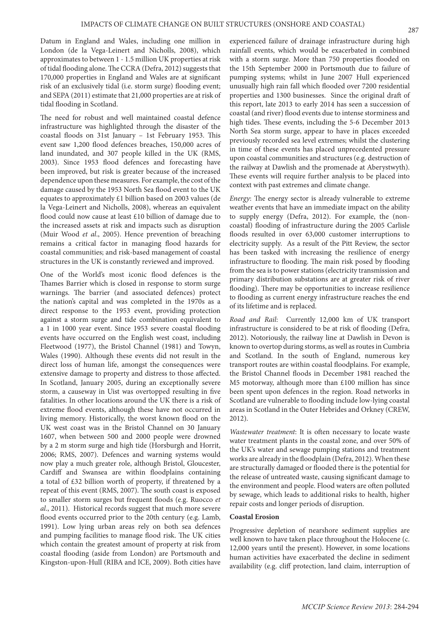Datum in England and Wales, including one million in London (de la Vega-Leinert and Nicholls, 2008), which approximates to between 1 - 1.5 million UK properties at risk of tidal flooding alone. The CCRA (Defra, 2012) suggests that 170,000 properties in England and Wales are at significant risk of an exclusively tidal (i.e. storm surge) flooding event; and SEPA (2011) estimate that 21,000 properties are at risk of tidal flooding in Scotland.

The need for robust and well maintained coastal defence infrastructure was highlighted through the disaster of the coastal floods on 31st January – 1st February 1953. This event saw 1,200 flood defences breaches, 150,000 acres of land inundated, and 307 people killed in the UK (RMS, 2003). Since 1953 flood defences and forecasting have been improved, but risk is greater because of the increased dependence upon these measures. For example, the cost of the damage caused by the 1953 North Sea flood event to the UK equates to approximately £1 billion based on 2003 values (de la Vega-Leinert and Nicholls, 2008), whereas an equivalent flood could now cause at least £10 billion of damage due to the increased assets at risk and impacts such as disruption (Muir Wood *et al*., 2005). Hence prevention of breaching remains a critical factor in managing flood hazards for coastal communities; and risk-based management of coastal structures in the UK is constantly reviewed and improved.

One of the World's most iconic flood defences is the Thames Barrier which is closed in response to storm surge warnings. The barrier (and associated defences) protect the nation's capital and was completed in the 1970s as a direct response to the 1953 event, providing protection against a storm surge and tide combination equivalent to a 1 in 1000 year event. Since 1953 severe coastal flooding events have occurred on the English west coast, including Fleetwood (1977), the Bristol Channel (1981) and Towyn, Wales (1990). Although these events did not result in the direct loss of human life, amongst the consequences were extensive damage to property and distress to those affected. In Scotland, January 2005, during an exceptionally severe storm, a causeway in Uist was overtopped resulting in five fatalities. In other locations around the UK there is a risk of extreme flood events, although these have not occurred in living memory. Historically, the worst known flood on the UK west coast was in the Bristol Channel on 30 January 1607, when between 500 and 2000 people were drowned by a 2 m storm surge and high tide (Horsburgh and Horrit, 2006; RMS, 2007). Defences and warning systems would now play a much greater role, although Bristol, Gloucester, Cardiff and Swansea are within floodplains containing a total of £32 billion worth of property, if threatened by a repeat of this event (RMS, 2007). The south coast is exposed to smaller storm surges but frequent floods (e.g. Ruocco *et al*., 2011). Historical records suggest that much more severe flood events occurred prior to the 20th century (e.g. Lamb, 1991). Low lying urban areas rely on both sea defences and pumping facilities to manage flood risk. The UK cities which contain the greatest amount of property at risk from coastal flooding (aside from London) are Portsmouth and Kingston-upon-Hull (RIBA and ICE, 2009). Both cities have

experienced failure of drainage infrastructure during high rainfall events, which would be exacerbated in combined with a storm surge. More than 750 properties flooded on the 15th September 2000 in Portsmouth due to failure of pumping systems; whilst in June 2007 Hull experienced unusually high rain fall which flooded over 7200 residential properties and 1300 businesses. Since the original draft of this report, late 2013 to early 2014 has seen a succession of coastal (and river) flood events due to intense storminess and high tides. These events, including the 5-6 December 2013 North Sea storm surge, appear to have in places exceeded previously recorded sea level extremes; whilst the clustering in time of these events has placed unprecedented pressure upon coastal communities and structures (e.g. destruction of the railway at Dawlish and the promenade at Aberystwyth). These events will require further analysis to be placed into context with past extremes and climate change.

*Energy*: The energy sector is already vulnerable to extreme weather events that have an immediate impact on the ability to supply energy (Defra, 2012). For example, the (noncoastal) flooding of infrastructure during the 2005 Carlisle floods resulted in over 63,000 customer interruptions to electricity supply. As a result of the Pitt Review, the sector has been tasked with increasing the resilience of energy infrastructure to flooding. The main risk posed by flooding from the sea is to power stations (electricity transmission and primary distribution substations are at greater risk of river flooding). There may be opportunities to increase resilience to flooding as current energy infrastructure reaches the end of its lifetime and is replaced.

*Road and Rail*: Currently 12,000 km of UK transport infrastructure is considered to be at risk of flooding (Defra, 2012). Notoriously, the railway line at Dawlish in Devon is known to overtop during storms, as well as routes in Cumbria and Scotland. In the south of England, numerous key transport routes are within coastal floodplains. For example, the Bristol Channel floods in December 1981 reached the M5 motorway, although more than £100 million has since been spent upon defences in the region. Road networks in Scotland are vulnerable to flooding include low-lying coastal areas in Scotland in the Outer Hebrides and Orkney (CREW, 2012).

*Wastewater treatment*: It is often necessary to locate waste water treatment plants in the coastal zone, and over 50% of the UK's water and sewage pumping stations and treatment works are already in the floodplain (Defra, 2012). When these are structurally damaged or flooded there is the potential for the release of untreated waste, causing significant damage to the environment and people. Flood waters are often polluted by sewage, which leads to additional risks to health, higher repair costs and longer periods of disruption.

#### **Coastal Erosion**

Progressive depletion of nearshore sediment supplies are well known to have taken place throughout the Holocene (c. 12,000 years until the present). However, in some locations human activities have exacerbated the decline in sediment availability (e.g. cliff protection, land claim, interruption of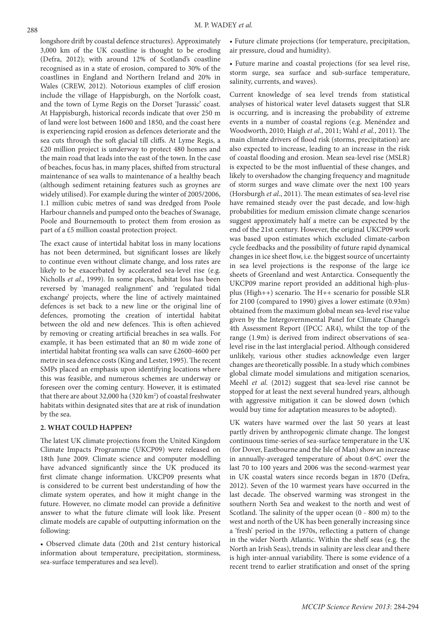longshore drift by coastal defence structures). Approximately 3,000 km of the UK coastline is thought to be eroding (Defra, 2012); with around 12% of Scotland's coastline recognised as in a state of erosion, compared to 30% of the coastlines in England and Northern Ireland and 20% in Wales (CREW, 2012). Notorious examples of cliff erosion include the village of Happisburgh, on the Norfolk coast, and the town of Lyme Regis on the Dorset 'Jurassic' coast. At Happisburgh, historical records indicate that over 250 m of land were lost between 1600 and 1850, and the coast here is experiencing rapid erosion as defences deteriorate and the sea cuts through the soft glacial till cliffs. At Lyme Regis, a £20 million project is underway to protect 480 homes and the main road that leads into the east of the town. In the case of beaches, focus has, in many places, shifted from structural maintenance of sea walls to maintenance of a healthy beach (although sediment retaining features such as groynes are widely utilised). For example during the winter of 2005/2006, 1.1 million cubic metres of sand was dredged from Poole Harbour channels and pumped onto the beaches of Swanage, Poole and Bournemouth to protect them from erosion as part of a £5 million coastal protection project.

The exact cause of intertidal habitat loss in many locations has not been determined, but significant losses are likely to continue even without climate change, and loss rates are likely to be exacerbated by accelerated sea-level rise (e.g. Nicholls *et al*., 1999). In some places, habitat loss has been reversed by 'managed realignment' and 'regulated tidal exchange' projects, where the line of actively maintained defences is set back to a new line or the original line of defences, promoting the creation of intertidal habitat between the old and new defences. This is often achieved by removing or creating artificial breaches in sea walls. For example, it has been estimated that an 80 m wide zone of intertidal habitat fronting sea walls can save £2600-4600 per metre in sea defence costs (King and Lester, 1995). The recent SMPs placed an emphasis upon identifying locations where this was feasible, and numerous schemes are underway or foreseen over the coming century. However, it is estimated that there are about 32,000 ha (320 km<sup>2</sup>) of coastal freshwater habitats within designated sites that are at risk of inundation by the sea.

## **2. WHAT COULD HAPPEN?**

The latest UK climate projections from the United Kingdom Climate Impacts Programme (UKCP09) were released on 18th June 2009. Climate science and computer modelling have advanced significantly since the UK produced its first climate change information. UKCP09 presents what is considered to be current best understanding of how the climate system operates, and how it might change in the future. However, no climate model can provide a definitive answer to what the future climate will look like. Present climate models are capable of outputting information on the following:

• Observed climate data (20th and 21st century historical information about temperature, precipitation, storminess, sea-surface temperatures and sea level).

• Future climate projections (for temperature, precipitation, air pressure, cloud and humidity).

• Future marine and coastal projections (for sea level rise, storm surge, sea surface and sub-surface temperature, salinity, currents, and waves).

Current knowledge of sea level trends from statistical analyses of historical water level datasets suggest that SLR is occurring, and is increasing the probability of extreme events in a number of coastal regions (e.g. Menéndez and Woodworth, 2010; Haigh *et al*., 2011; Wahl *et al.*, 2011). The main climate drivers of flood risk (storms, precipitation) are also expected to increase, leading to an increase in the risk of coastal flooding and erosion. Mean sea-level rise (MSLR) is expected to be the most influential of these changes, and likely to overshadow the changing frequency and magnitude of storm surges and wave climate over the next 100 years (Horsburgh *et al*., 2011). The mean estimates of sea-level rise have remained steady over the past decade, and low-high probabilities for medium emission climate change scenarios suggest approximately half a metre can be expected by the end of the 21st century. However, the original UKCP09 work was based upon estimates which excluded climate-carbon cycle feedbacks and the possibility of future rapid dynamical changes in ice sheet flow, i.e. the biggest source of uncertainty in sea level projections is the response of the large ice sheets of Greenland and west Antarctica. Consequently the UKCP09 marine report provided an additional high-plusplus (High++) scenario. The H++ scenario for possible SLR for 2100 (compared to 1990) gives a lower estimate (0.93m) obtained from the maximum global mean sea-level rise value given by the Intergovernmental Panel for Climate Change's 4th Assessment Report (IPCC AR4), whilst the top of the range (1.9m) is derived from indirect observations of sealevel rise in the last interglacial period. Although considered unlikely, various other studies acknowledge even larger changes are theoretically possible. In a study which combines global climate model simulations and mitigation scenarios, Meehl *et al.* (2012) suggest that sea-level rise cannot be stopped for at least the next several hundred years, although with aggressive mitigation it can be slowed down (which would buy time for adaptation measures to be adopted).

UK waters have warmed over the last 50 years at least partly driven by anthropogenic climate change. The longest continuous time-series of sea-surface temperature in the UK (for Dover, Eastbourne and the Isle of Man) show an increase in annually-averaged temperature of about 0.6ºC over the last 70 to 100 years and 2006 was the second-warmest year in UK coastal waters since records began in 1870 (Defra, 2012). Seven of the 10 warmest years have occurred in the last decade. The observed warming was strongest in the southern North Sea and weakest to the north and west of Scotland. The salinity of the upper ocean (0 - 800 m) to the west and north of the UK has been generally increasing since a 'fresh' period in the 1970s, reflecting a pattern of change in the wider North Atlantic. Within the shelf seas (e.g. the North an Irish Seas), trends in salinity are less clear and there is high inter-annual variability. There is some evidence of a recent trend to earlier stratification and onset of the spring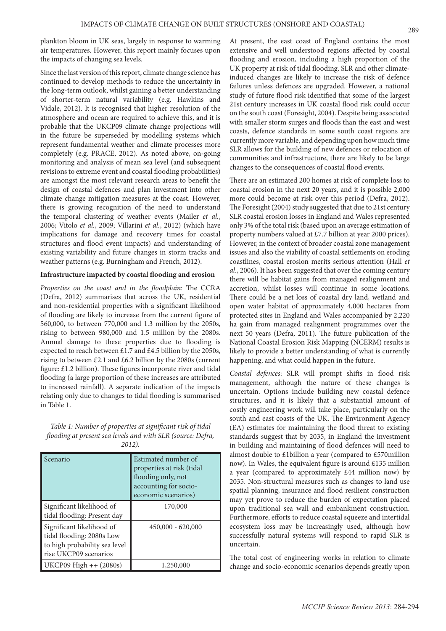plankton bloom in UK seas, largely in response to warming air temperatures. However, this report mainly focuses upon the impacts of changing sea levels.

Since the last version of this report, climate change science has continued to develop methods to reduce the uncertainty in the long-term outlook, whilst gaining a better understanding of shorter-term natural variability (e.g. Hawkins and Vidale, 2012). It is recognised that higher resolution of the atmosphere and ocean are required to achieve this, and it is probable that the UKCP09 climate change projections will in the future be superseded by modelling systems which represent fundamental weather and climate processes more completely (e.g. PRACE, 2012). As noted above, on-going monitoring and analysis of mean sea level (and subsequent revisions to extreme event and coastal flooding probabilities) are amongst the most relevant research areas to benefit the design of coastal defences and plan investment into other climate change mitigation measures at the coast. However, there is growing recognition of the need to understand the temporal clustering of weather events (Mailer *et al.*, 2006; Vitolo *et al.*, 2009; Villarini *et al.*, 2012) (which have implications for damage and recovery times for coastal structures and flood event impacts) and understanding of existing variability and future changes in storm tracks and weather patterns (e.g. Burningham and French, 2012).

#### **Infrastructure impacted by coastal flooding and erosion**

*Properties on the coast and in the floodplain*: The CCRA (Defra, 2012) summarises that across the UK, residential and non-residential properties with a significant likelihood of flooding are likely to increase from the current figure of 560,000, to between 770,000 and 1.3 million by the 2050s, rising to between 980,000 and 1.5 million by the 2080s. Annual damage to these properties due to flooding is expected to reach between £1.7 and £4.5 billion by the 2050s, rising to between £2.1 and £6.2 billion by the 2080s (current figure: £1.2 billion). These figures incorporate river and tidal flooding (a large proportion of these increases are attributed to increased rainfall). A separate indication of the impacts relating only due to changes to tidal flooding is summarised in Table 1.

*Table 1: Number of properties at significant risk of tidal flooding at present sea levels and with SLR (source: Defra, 2012).*

| Scenario                                                                                                         | Estimated number of<br>properties at risk (tidal<br>flooding only, not<br>accounting for socio-<br>economic scenarios) |
|------------------------------------------------------------------------------------------------------------------|------------------------------------------------------------------------------------------------------------------------|
| Significant likelihood of<br>tidal flooding: Present day                                                         | 170,000                                                                                                                |
| Significant likelihood of<br>tidal flooding: 2080s Low<br>to high probability sea level<br>rise UKCP09 scenarios | $450,000 - 620,000$                                                                                                    |
| UKCP09 High ++ (2080s)                                                                                           | 1,250,000                                                                                                              |

At present, the east coast of England contains the most extensive and well understood regions affected by coastal flooding and erosion, including a high proportion of the UK property at risk of tidal flooding. SLR and other climateinduced changes are likely to increase the risk of defence failures unless defences are upgraded. However, a national study of future flood risk identified that some of the largest 21st century increases in UK coastal flood risk could occur on the south coast (Foresight, 2004). Despite being associated with smaller storm surges and floods than the east and west coasts, defence standards in some south coast regions are currently more variable, and depending upon how much time SLR allows for the building of new defences or relocation of communities and infrastructure, there are likely to be large changes to the consequences of coastal flood events.

There are an estimated 200 homes at risk of complete loss to coastal erosion in the next 20 years, and it is possible 2,000 more could become at risk over this period (Defra, 2012). The Foresight (2004) study suggested that due to 21st century SLR coastal erosion losses in England and Wales represented only 3% of the total risk (based upon an average estimation of property numbers valued at £7.7 billion at year 2000 prices). However, in the context of broader coastal zone management issues and also the viability of coastal settlements on eroding coastlines, coastal erosion merits serious attention (Hall *et al*., 2006). It has been suggested that over the coming century there will be habitat gains from managed realignment and accretion, whilst losses will continue in some locations. There could be a net loss of coastal dry land, wetland and open water habitat of approximately 4,000 hectares from protected sites in England and Wales accompanied by 2,220 ha gain from managed realignment programmes over the next 50 years (Defra, 2011). The future publication of the National Coastal Erosion Risk Mapping (NCERM) results is likely to provide a better understanding of what is currently happening, and what could happen in the future.

*Coastal defences*: SLR will prompt shifts in flood risk management, although the nature of these changes is uncertain. Options include building new coastal defence structures, and it is likely that a substantial amount of costly engineering work will take place, particularly on the south and east coasts of the UK. The Environment Agency (EA) estimates for maintaining the flood threat to existing standards suggest that by 2035, in England the investment in building and maintaining of flood defences will need to almost double to £1billion a year (compared to £570million now). In Wales, the equivalent figure is around £135 million a year (compared to approximately £44 million now) by 2035. Non-structural measures such as changes to land use spatial planning, insurance and flood resilient construction may yet prove to reduce the burden of expectation placed upon traditional sea wall and embankment construction. Furthermore, efforts to reduce coastal squeeze and intertidal ecosystem loss may be increasingly used, although how successfully natural systems will respond to rapid SLR is uncertain.

The total cost of engineering works in relation to climate change and socio-economic scenarios depends greatly upon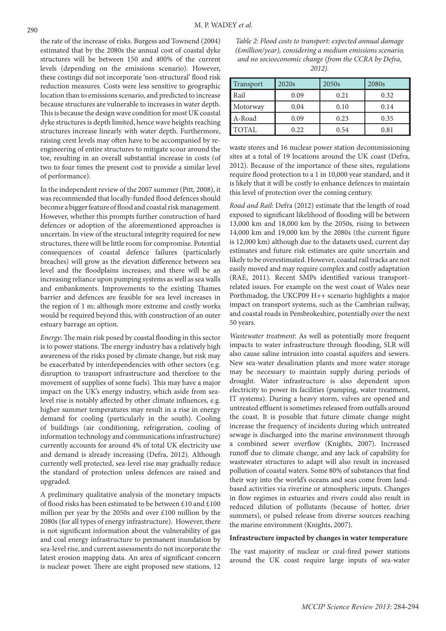the rate of the increase of risks. Burgess and Townend (2004) estimated that by the 2080s the annual cost of coastal dyke structures will be between 150 and 400% of the current levels (depending on the emissions scenario). However, these costings did not incorporate 'non-structural' flood risk reduction measures. Costs were less sensitive to geographic location than to emissions scenario, and predicted to increase because structures are vulnerable to increases in water depth. This is because the design wave condition for most UK coastal dyke structures is depth limited, hence wave heights reaching structures increase linearly with water depth. Furthermore, raising crest levels may often have to be accompanied by reengineering of entire structures to mitigate scour around the toe, resulting in an overall substantial increase in costs (of two to four times the present cost to provide a similar level of performance).

In the independent review of the 2007 summer (Pitt, 2008), it was recommended that locally-funded flood defences should become a bigger feature of flood and coastal risk management. However, whether this prompts further construction of hard defences or adoption of the aforementioned approaches is uncertain. In view of the structural integrity required for new structures, there will be little room for compromise. Potential consequences of coastal defence failures (particularly breaches) will grow as the elevation difference between sea level and the floodplains increases; and there will be an increasing reliance upon pumping systems as well as sea walls and embankments. Improvements to the existing Thames barrier and defences are feasible for sea level increases in the region of 1 m; although more extreme and costly works would be required beyond this, with construction of an outer estuary barrage an option.

*Energy*: The main risk posed by coastal flooding in this sector is to power stations. The energy industry has a relatively high awareness of the risks posed by climate change, but risk may be exacerbated by interdependencies with other sectors (e.g. disruption to transport infrastructure and therefore to the movement of supplies of some fuels). This may have a major impact on the UK's energy industry, which aside from sealevel rise is notably affected by other climate influences, e.g. higher summer temperatures may result in a rise in energy demand for cooling (particularly in the south). Cooling of buildings (air conditioning, refrigeration, cooling of information technology and communications infrastructure) currently accounts for around 4% of total UK electricity use and demand is already increasing (Defra, 2012). Although currently well protected, sea-level rise may gradually reduce the standard of protection unless defences are raised and upgraded.

A preliminary qualitative analysis of the monetary impacts of flood risks has been estimated to be between £10 and £100 million per year by the 2050s and over £100 million by the 2080s (for all types of energy infrastructure). However, there is not significant information about the vulnerability of gas and coal energy infrastructure to permanent inundation by sea-level rise, and current assessments do not incorporate the latest erosion mapping data. An area of significant concern is nuclear power. There are eight proposed new stations, 12

*Table 2: Flood costs to transport: expected annual damage (£million/year), considering a medium emissions scenario, and no socioeconomic change (from the CCRA by Defra, 2012).*

| Transport    | 2020s | 2050s | 2080s |
|--------------|-------|-------|-------|
| Rail         | 0.09  | 0.21  | 0.32  |
| Motorway     | 0.04  | 0.10  | 0.14  |
| A-Road       | 0.09  | 0.23  | 0.35  |
| <b>TOTAL</b> | 0.22  | 0.54  | 0.81  |

waste stores and 16 nuclear power station decommissioning sites at a total of 19 locations around the UK coast (Defra, 2012). Because of the importance of these sites, regulations require flood protection to a 1 in 10,000 year standard, and it is likely that it will be costly to enhance defences to maintain this level of protection over the coming century.

*Road and Rail*: Defra (2012) estimate that the length of road exposed to significant likelihood of flooding will be between 13,000 km and 18,000 km by the 2050s, rising to between 14,000 km and 19,000 km by the 2080s (the current figure is 12,000 km) although due to the datasets used, current day estimates and future risk estimates are quite uncertain and likely to be overestimated. However, coastal rail tracks are not easily moved and may require complex and costly adaptation (RAE, 2011). Recent SMPs identified various transportrelated issues. For example on the west coast of Wales near Porthmadog, the UKCP09 H++ scenario highlights a major impact on transport systems, such as the Cambrian railway, and coastal roads in Pembrokeshire, potentially over the next 50 years.

*Wastewater treatment*: As well as potentially more frequent impacts to water infrastructure through flooding, SLR will also cause saline intrusion into coastal aquifers and sewers. New sea-water desalination plants and more water storage may be necessary to maintain supply during periods of drought. Water infrastructure is also dependent upon electricity to power its facilities (pumping, water treatment, IT systems). During a heavy storm, valves are opened and untreated effluent is sometimes released from outfalls around the coast. It is possible that future climate change might increase the frequency of incidents during which untreated sewage is discharged into the marine environment through a combined sewer overflow (Knights, 2007). Increased runoff due to climate change, and any lack of capability for wastewater structures to adapt will also result in increased pollution of coastal waters. Some 80% of substances that find their way into the world's oceans and seas come from landbased activities via riverine or atmospheric inputs. Changes in flow regimes in estuaries and rivers could also result in reduced dilution of pollutants (because of hotter, drier summers), or pulsed release from diverse sources reaching the marine environment (Knights, 2007).

### **Infrastructure impacted by changes in water temperature**

The vast majority of nuclear or coal-fired power stations around the UK coast require large inputs of sea-water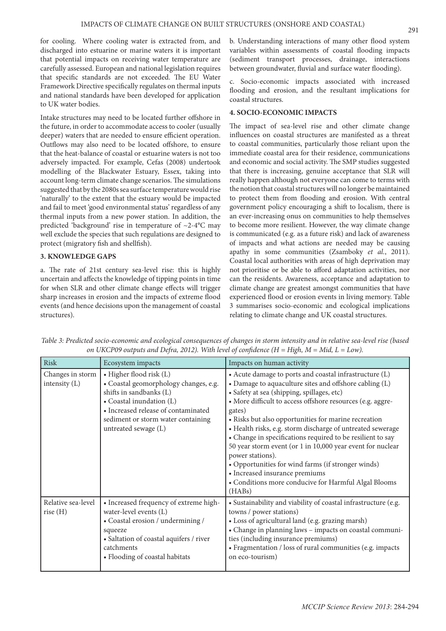for cooling. Where cooling water is extracted from, and discharged into estuarine or marine waters it is important that potential impacts on receiving water temperature are carefully assessed. European and national legislation requires that specific standards are not exceeded. The EU Water Framework Directive specifically regulates on thermal inputs and national standards have been developed for application to UK water bodies.

Intake structures may need to be located further offshore in the future, in order to accommodate access to cooler (usually deeper) waters that are needed to ensure efficient operation. Outflows may also need to be located offshore, to ensure that the heat-balance of coastal or estuarine waters is not too adversely impacted. For example, Cefas (2008) undertook modelling of the Blackwater Estuary, Essex, taking into account long-term climate change scenarios. The simulations suggested that by the 2080s sea surface temperature would rise 'naturally' to the extent that the estuary would be impacted and fail to meet 'good environmental status' regardless of any thermal inputs from a new power station. In addition, the predicted 'background' rise in temperature of ~2-4°C may well exclude the species that such regulations are designed to protect (migratory fish and shellfish).

# **3. KNOWLEDGE GAPS**

a. The rate of 21st century sea-level rise: this is highly uncertain and affects the knowledge of tipping points in time for when SLR and other climate change effects will trigger sharp increases in erosion and the impacts of extreme flood events (and hence decisions upon the management of coastal structures).

b. Understanding interactions of many other flood system variables within assessments of coastal flooding impacts (sediment transport processes, drainage, interactions between groundwater, fluvial and surface water flooding).

c. Socio-economic impacts associated with increased flooding and erosion, and the resultant implications for coastal structures.

# **4. SOCIO-ECONOMIC IMPACTS**

The impact of sea-level rise and other climate change influences on coastal structures are manifested as a threat to coastal communities, particularly those reliant upon the immediate coastal area for their residence, communications and economic and social activity. The SMP studies suggested that there is increasing, genuine acceptance that SLR will really happen although not everyone can come to terms with the notion that coastal structures will no longer be maintained to protect them from flooding and erosion. With central government policy encouraging a shift to localism, there is an ever-increasing onus on communities to help themselves to become more resilient. However, the way climate change is communicated (e.g. as a future risk) and lack of awareness of impacts and what actions are needed may be causing apathy in some communities (Zsamboky *et al.*, 2011). Coastal local authorities with areas of high deprivation may not prioritise or be able to afford adaptation activities, nor can the residents. Awareness, acceptance and adaptation to climate change are greatest amongst communities that have experienced flood or erosion events in living memory. Table 3 summarises socio-economic and ecological implications relating to climate change and UK coastal structures.

| <b>Risk</b>                         | Ecosystem impacts                                                                                                                                                                                                            | Impacts on human activity                                                                                                                                                                                                                                                                                                                                                                                                                                                                                                                                                                                                                                              |
|-------------------------------------|------------------------------------------------------------------------------------------------------------------------------------------------------------------------------------------------------------------------------|------------------------------------------------------------------------------------------------------------------------------------------------------------------------------------------------------------------------------------------------------------------------------------------------------------------------------------------------------------------------------------------------------------------------------------------------------------------------------------------------------------------------------------------------------------------------------------------------------------------------------------------------------------------------|
| Changes in storm<br>intensity $(L)$ | · Higher flood risk (L)<br>• Coastal geomorphology changes, e.g.<br>shifts in sandbanks (L)<br>• Coastal inundation (L)<br>• Increased release of contaminated<br>sediment or storm water containing<br>untreated sewage (L) | • Acute damage to ports and coastal infrastructure (L)<br>• Damage to aquaculture sites and offshore cabling (L)<br>• Safety at sea (shipping, spillages, etc)<br>• More difficult to access offshore resources (e.g. aggre-<br>gates)<br>• Risks but also opportunities for marine recreation<br>• Health risks, e.g. storm discharge of untreated sewerage<br>• Change in specifications required to be resilient to say<br>50 year storm event (or 1 in 10,000 year event for nuclear<br>power stations).<br>• Opportunities for wind farms (if stronger winds)<br>• Increased insurance premiums<br>• Conditions more conducive for Harmful Algal Blooms<br>(HABs) |
| Relative sea-level<br>rise(H)       | • Increased frequency of extreme high-<br>water-level events (L)<br>• Coastal erosion / undermining /<br>squeeze<br>• Saltation of coastal aquifers / river<br>catchments<br>• Flooding of coastal habitats                  | • Sustainability and viability of coastal infrastructure (e.g.<br>towns / power stations)<br>· Loss of agricultural land (e.g. grazing marsh)<br>• Change in planning laws - impacts on coastal communi-<br>ties (including insurance premiums)<br>• Fragmentation / loss of rural communities (e.g. impacts<br>on eco-tourism)                                                                                                                                                                                                                                                                                                                                        |

*Table 3: Predicted socio-economic and ecological consequences of changes in storm intensity and in relative sea-level rise (based on UKCP09 outputs and Defra, 2012). With level of confidence (H = High, M = Mid, L = Low).*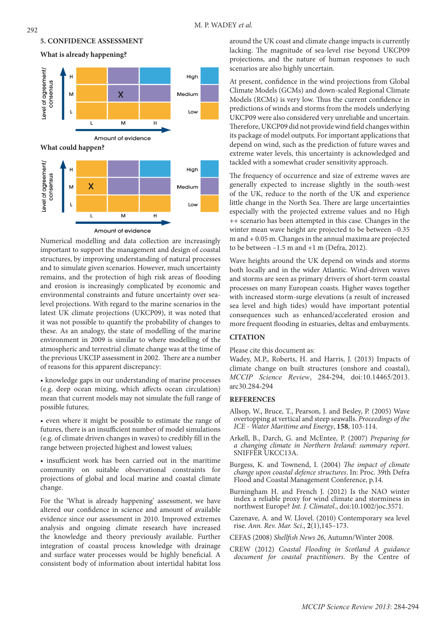

**What is already happening?** 



Numerical modelling and data collection are increasingly important to support the management and design of coastal structures, by improving understanding of natural processes and to simulate given scenarios. However, much uncertainty remains, and the protection of high risk areas of flooding and erosion is increasingly complicated by economic and environmental constraints and future uncertainty over sealevel projections. With regard to the marine scenarios in the latest UK climate projections (UKCP09), it was noted that it was not possible to quantify the probability of changes to these. As an analogy, the state of modelling of the marine environment in 2009 is similar to where modelling of the atmospheric and terrestrial climate change was at the time of the previous UKCIP assessment in 2002. There are a number of reasons for this apparent discrepancy:

• knowledge gaps in our understanding of marine processes (e.g. deep ocean mixing, which affects ocean circulation) mean that current models may not simulate the full range of possible futures;

• even where it might be possible to estimate the range of futures, there is an insufficient number of model simulations (e.g. of climate driven changes in waves) to credibly fill in the range between projected highest and lowest values;

• insufficient work has been carried out in the maritime community on suitable observational constraints for projections of global and local marine and coastal climate change.

For the 'What is already happening' assessment, we have altered our confidence in science and amount of available evidence since our assessment in 2010. Improved extremes analysis and ongoing climate research have increased the knowledge and theory previously available. Further integration of coastal process knowledge with drainage and surface water processes would be highly beneficial. A consistent body of information about intertidal habitat loss

around the UK coast and climate change impacts is currently lacking. The magnitude of sea-level rise beyond UKCP09 projections, and the nature of human responses to such scenarios are also highly uncertain.

At present, confidence in the wind projections from Global Climate Models (GCMs) and down-scaled Regional Climate Models (RCMs) is very low. Thus the current confidence in predictions of winds and storms from the models underlying UKCP09 were also considered very unreliable and uncertain. Therefore, UKCP09 did not provide wind field changes within its package of model outputs. For important applications that depend on wind, such as the prediction of future waves and extreme water levels, this uncertainty is acknowledged and tackled with a somewhat cruder sensitivity approach.

The frequency of occurrence and size of extreme waves are generally expected to increase slightly in the south-west of the UK, reduce to the north of the UK and experience little change in the North Sea. There are large uncertainties especially with the projected extreme values and no High ++ scenario has been attempted in this case. Changes in the winter mean wave height are projected to be between –0.35 m and + 0.05 m. Changes in the annual maxima are projected to be between  $-1.5$  m and  $+1$  m (Defra, 2012).

Wave heights around the UK depend on winds and storms both locally and in the wider Atlantic. Wind-driven waves and storms are seen as primary drivers of short-term coastal processes on many European coasts. Higher waves together with increased storm-surge elevations (a result of increased sea level and high tides) would have important potential consequences such as enhanced/accelerated erosion and more frequent flooding in estuaries, deltas and embayments.

# **CITATION**

Please cite this document as:

Wadey, M.P., Roberts, H. and Harris, J. (2013) Impacts of climate change on built structures (onshore and coastal), *MCCIP Science Review*, 284-294, doi:10.14465/2013. arc30.284-294

## **REFERENCES**

- Allsop, W., Bruce, T., Pearson, J. and Besley, P. (2005) Wave overtopping at vertical and steep seawalls. *Proceedings of the ICE - Water Maritime and Energy*, **158**, 103-114.
- Arkell, B., Darch, G. and McEntee, P. (2007) *Preparing for a changing climate in Northern Ireland: summary report*. SNIFFER UKCC13A.
- Burgess, K. and Townend, I. (2004) *The impact of climate change upon coastal defence structures*. In: Proc. 39th Defra Flood and Coastal Management Conference, p.14.
- Burningham H. and French J. (2012) Is the NAO winter index a reliable proxy for wind climate and storminess in northwest Europe? *Int. J. Climatol*., doi:10.1002/joc.3571.
- Cazenave, A. and W. Llovel. (2010) Contemporary sea level rise. *Ann. Rev. Mar. Sci*., **2**(1),145–173.
- CEFAS (2008) *Shellfish News 26*, Autumn/Winter 2008.
- CREW (2012) *Coastal Flooding in Scotland A guidance document for coastal practitioners*. By the Centre of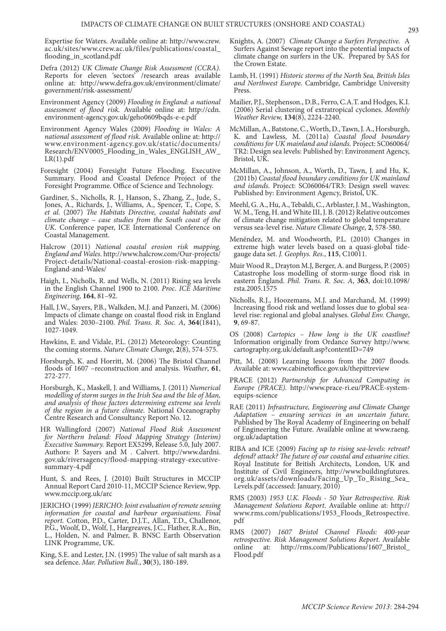Expertise for Waters. Available online at: http://www.crew. ac.uk/sites/www.crew.ac.uk/files/publications/coastal\_ flooding\_in\_scotland.pdf

- Defra (2012) *UK Climate Change Risk Assessment (CCRA).*  Reports for eleven 'sectors' /research areas available online at: http://www.defra.gov.uk/environment/climate/ government/risk-assessment/
- Environment Agency (2009) *Flooding in England: a national assessment of flood risk.* Available online at: http://cdn. environment-agency.gov.uk/geho0609bqds-e-e.pdf
- Environment Agency Wales (2009) *Flooding in Wales: A national assessment of flood risk.* Available online at: http:// www.environment-agency.gov.uk/static/documents/ Research/ENV0005\_Flooding\_in\_Wales\_ENGLISH\_AW\_  $LR(1).pdf$
- Foresight (2004) Foresight Future Flooding. Executive Summary. Flood and Coastal Defence Project of the Foresight Programme. Office of Science and Technology.
- Gardiner, S., Nicholls, R. J., Hanson, S., Zhang, Z., Jude, S., Jones, A., Richards, J., Williams, A., Spencer, T., Cope, S. *et al.* (2007) *The Habitats Directive, coastal habitats and climate change – case studies from the South coast of the UK.* Conference paper, ICE International Conference on Coastal Management.
- Halcrow (2011) *National coastal erosion risk mapping, England and Wales.* http://www.halcrow.com/Our-projects/ Project-details/National-coastal-erosion-risk-mapping-England-and-Wales/
- Haigh, I., Nicholls, R. and Wells, N. (2011) Rising sea levels in the English Channel 1900 to 2100. *Proc. ICE Maritime Engineering*, **164**, 81–92.
- Hall, J.W., Sayers, P.B., Walkden, M.J. and Panzeri, M. (2006) Impacts of climate change on coastal flood risk in England and Wales: 2030–2100. *Phil. Trans. R. Soc. A*, **364**(1841), 1027-1049.
- Hawkins, E. and Vidale, P.L. (2012) Meteorology: Counting the coming storms. *Nature Climate Change*, **2**(8), 574-575.
- Horsburgh, K. and Horritt, M. (2006) The Bristol Channel floods of 1607 –reconstruction and analysis. *Weather*, **61**, 272-277.
- Horsburgh, K., Maskell, J. and Williams, J. (2011) *Numerical modelling of storm surges in the Irish Sea and the Isle of Man, and analysis of those factors determining extreme sea levels of the region in a future climate.* National Oceanography Centre Research and Consultancy Report No. 12.
- HR Wallingford (2007) *National Flood Risk Assessment for Northern Ireland: Flood Mapping Strategy (Interim) Executive Summary.* Report EX5299, Release 5.0, July 2007. Authors: P. Sayers and M . Calvert. http://www.dardni. gov.uk/riversagency/flood-mapping-strategy-executivesummary-4.pdf
- Hunt, S. and Rees, J. (2010) Built Structures in MCCIP Annual Report Card 2010-11, MCCIP Science Review, 9pp. www.mccip.org.uk/arc
- JERICHO (1999) *JERICHO: Joint evaluation of remote sensing information for coastal and harbour organisations. Final report.* Cotton, P.D., Carter, D.J.T., Allan, T.D., Challenor, P.G., Woolf, D., Wolf, J., Hargreaves, J.C., Flather, R.A., Bin, L., Holden, N. and Palmer, B. BNSC Earth Observation LINK Programme, UK.
- King, S.E. and Lester, J.N. (1995) The value of salt marsh as a sea defence. *Mar. Pollution Bull.*, **30**(3), 180-189.
- Knights, A. (2007) *Climate Change a Surfers Perspective.* A Surfers Against Sewage report into the potential impacts of climate change on surfers in the UK. Prepared by SAS for the Crown Estate.
- Lamb, H. (1991) *Historic storms of the North Sea, British Isles and Northwest Europe.* Cambridge, Cambridge University Press.
- Mailier, P.J., Stephenson., D.B., Ferro, C.A.T. and Hodges, K.I. (2006) Serial clustering of extratropical cyclones. *Monthly Weather Review,* **134**(8), 2224-2240.
- McMillan, A., Batstone, C., Worth, D., Tawn, J. A., Horsburgh, K. and Lawless, M. (2011a) *Coastal flood boundary conditions for UK mainland and islands.* Project: SC060064/ TR2: Design sea levels: Published by: Environment Agency, Bristol, UK.
- McMillan, A., Johnson, A., Worth, D., Tawn, J. and Hu, K. (2011b) *Coastal flood boundary conditions for UK mainland and islands*. Project: SC060064/TR3: Design swell waves: Published by: Environment Agency, Bristol, UK.
- Meehl, G. A., Hu, A., Tebaldi, C., Arblaster, J. M., Washington, W. M., Teng, H. and White III, J. B. (2012) Relative outcomes of climate change mitigation related to global temperature versus sea-level rise. *Nature Climate Change*, **2**, 578-580.
- Menéndez, M. and Woodworth, P.L. (2010) Changes in extreme high water levels based on a quasi-global tidegauge data set. *J. Geophys. Res.*, **115**, C10011.
- Muir Wood R., Drayton M.J, Berger, A. and Burgess, P. (2005) Catastrophe loss modelling of storm-surge flood risk in eastern England. *Phil. Trans. R. Soc. A*, **363**, doi:10.1098/ rsta.2005.1575
- Nicholls, R.J., Hoozemans, M.J. and Marchand, M. (1999) Increasing flood risk and wetland losses due to global sealevel rise: regional and global analyses. *Global Env. Change*, **9**, 69-87.
- OS (2008) *Cartopics How long is the UK coastline?*  Information originally from Ordance Survey http://www. cartography.org.uk/default.asp?contentID=749
- Pitt, M. (2008) Learning lessons from the 2007 floods. Available at: www.cabinetoffice.gov.uk/thepittreview
- PRACE (2012) *Partnership for Advanced Computing in Europe (PRACE).* http://www.prace-ri.eu/PRACE-systemequips-science
- RAE (2011) *Infrastructure, Engineering and Climate Change Adaptation – ensuring services in an uncertain future.* Published by The Royal Academy of Engineering on behalf of Engineering the Future. Available online at www.raeng. org.uk/adaptation
- RIBA and ICE (2009) *Facing up to rising sea-levels: retreat? defend? attack? The future of our coastal and estuarine cities.*  Royal Institute for British Architects, London, UK and Institute of Civil Engineers, http://www.buildingfutures. org.uk/assets/downloads/Facing\_Up\_To\_Rising\_Sea\_ Levels.pdf (accessed: January, 2010)
- RMS (2003) *1953 U.K. Floods 50 Year Retrospective. Risk Management Solutions Report*. Available online at: http:// www.rms.com/publications/1953\_Floods\_Retrospective. pdf
- RMS (2007) *1607 Bristol Channel Floods: 400-year retrospective. Risk Management Solutions Report*. Available online at: http://rms.com/Publications/1607\_Bristol\_ Flood.pdf